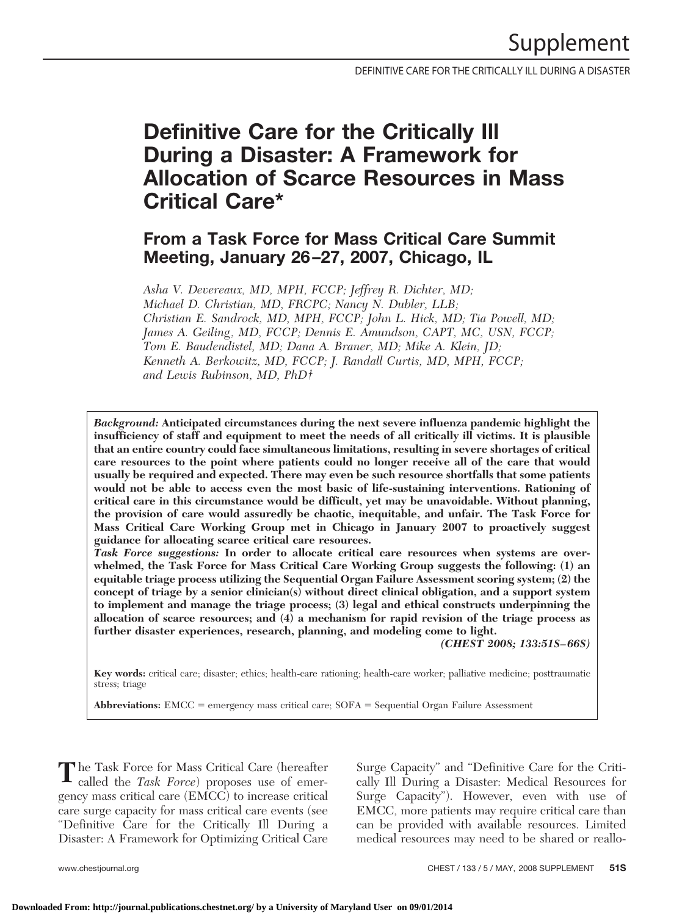DEFINITIVE CARE FOR THE CRITICALLY ILL DURING A DISASTER

# **Definitive Care for the Critically Ill During a Disaster: A Framework for Allocation of Scarce Resources in Mass Critical Care\***

## **From a Task Force for Mass Critical Care Summit Meeting, January 26 –27, 2007, Chicago, IL**

*Asha V. Devereaux, MD, MPH, FCCP; Jeffrey R. Dichter, MD; Michael D. Christian, MD, FRCPC; Nancy N. Dubler, LLB; Christian E. Sandrock, MD, MPH, FCCP; John L. Hick, MD; Tia Powell, MD; James A. Geiling, MD, FCCP; Dennis E. Amundson, CAPT, MC, USN, FCCP; Tom E. Baudendistel, MD; Dana A. Braner, MD; Mike A. Klein, JD; Kenneth A. Berkowitz, MD, FCCP; J. Randall Curtis, MD, MPH, FCCP; and Lewis Rubinson, MD, PhD†*

*Background:* **Anticipated circumstances during the next severe influenza pandemic highlight the insufficiency of staff and equipment to meet the needs of all critically ill victims. It is plausible that an entire country could face simultaneous limitations, resulting in severe shortages of critical care resources to the point where patients could no longer receive all of the care that would usually be required and expected. There may even be such resource shortfalls that some patients would not be able to access even the most basic of life-sustaining interventions. Rationing of critical care in this circumstance would be difficult, yet may be unavoidable. Without planning, the provision of care would assuredly be chaotic, inequitable, and unfair. The Task Force for Mass Critical Care Working Group met in Chicago in January 2007 to proactively suggest guidance for allocating scarce critical care resources.**

*Task Force suggestions:* **In order to allocate critical care resources when systems are overwhelmed, the Task Force for Mass Critical Care Working Group suggests the following: (1) an equitable triage process utilizing the Sequential Organ Failure Assessment scoring system; (2) the concept of triage by a senior clinician(s) without direct clinical obligation, and a support system to implement and manage the triage process; (3) legal and ethical constructs underpinning the allocation of scarce resources; and (4) a mechanism for rapid revision of the triage process as further disaster experiences, research, planning, and modeling come to light.**

*(CHEST 2008; 133:51S– 66S)*

**Key words:** critical care; disaster; ethics; health-care rationing; health-care worker; palliative medicine; posttraumatic stress; triage

Abbreviations: EMCC = emergency mass critical care; SOFA = Sequential Organ Failure Assessment

**T**he Task Force for Mass Critical Care (hereafter called the *Task Force*) proposes use of emergency mass critical care (EMCC) to increase critical care surge capacity for mass critical care events (see "Definitive Care for the Critically Ill During a Disaster: A Framework for Optimizing Critical Care

Surge Capacity" and "Definitive Care for the Critically Ill During a Disaster: Medical Resources for Surge Capacity"). However, even with use of EMCC, more patients may require critical care than can be provided with available resources. Limited medical resources may need to be shared or reallo-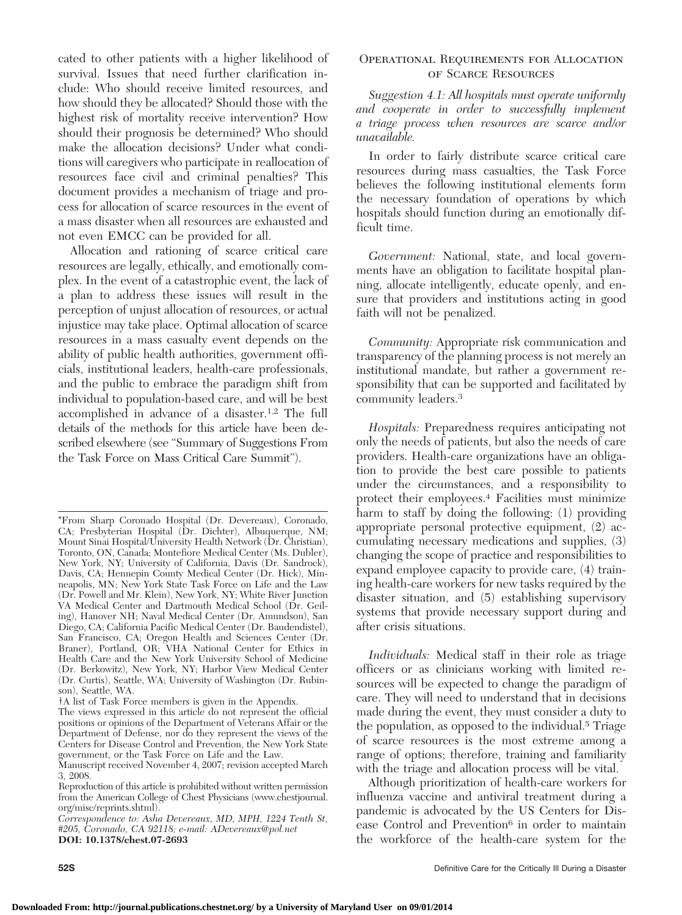cated to other patients with a higher likelihood of survival. Issues that need further clarification include: Who should receive limited resources, and how should they be allocated? Should those with the highest risk of mortality receive intervention? How should their prognosis be determined? Who should make the allocation decisions? Under what conditions will caregivers who participate in reallocation of resources face civil and criminal penalties? This document provides a mechanism of triage and process for allocation of scarce resources in the event of a mass disaster when all resources are exhausted and not even EMCC can be provided for all.

Allocation and rationing of scarce critical care resources are legally, ethically, and emotionally complex. In the event of a catastrophic event, the lack of a plan to address these issues will result in the perception of unjust allocation of resources, or actual injustice may take place. Optimal allocation of scarce resources in a mass casualty event depends on the ability of public health authorities, government officials, institutional leaders, health-care professionals, and the public to embrace the paradigm shift from individual to population-based care, and will be best accomplished in advance of a disaster.1,2 The full details of the methods for this article have been described elsewhere (see "Summary of Suggestions From the Task Force on Mass Critical Care Summit").

†A list of Task Force members is given in the Appendix.

The views expressed in this article do not represent the official positions or opinions of the Department of Veterans Affair or the Department of Defense, nor do they represent the views of the Centers for Disease Control and Prevention, the New York State government, or the Task Force on Life and the Law.

Manuscript received November 4, 2007; revision accepted March 3, 2008.

## Operational Requirements for Allocation of Scarce Resources

*Suggestion 4.1: All hospitals must operate uniformly and cooperate in order to successfully implement a triage process when resources are scarce and/or unavailable.*

In order to fairly distribute scarce critical care resources during mass casualties, the Task Force believes the following institutional elements form the necessary foundation of operations by which hospitals should function during an emotionally difficult time.

*Government:* National, state, and local governments have an obligation to facilitate hospital planning, allocate intelligently, educate openly, and ensure that providers and institutions acting in good faith will not be penalized.

*Community:* Appropriate risk communication and transparency of the planning process is not merely an institutional mandate, but rather a government responsibility that can be supported and facilitated by community leaders.3

*Hospitals:* Preparedness requires anticipating not only the needs of patients, but also the needs of care providers. Health-care organizations have an obligation to provide the best care possible to patients under the circumstances, and a responsibility to protect their employees.4 Facilities must minimize harm to staff by doing the following: (1) providing appropriate personal protective equipment, (2) accumulating necessary medications and supplies, (3) changing the scope of practice and responsibilities to expand employee capacity to provide care, (4) training health-care workers for new tasks required by the disaster situation, and (5) establishing supervisory systems that provide necessary support during and after crisis situations.

*Individuals:* Medical staff in their role as triage officers or as clinicians working with limited resources will be expected to change the paradigm of care. They will need to understand that in decisions made during the event, they must consider a duty to the population, as opposed to the individual.<sup>5</sup> Triage of scarce resources is the most extreme among a range of options; therefore, training and familiarity with the triage and allocation process will be vital.

Although prioritization of health-care workers for influenza vaccine and antiviral treatment during a pandemic is advocated by the US Centers for Disease Control and Prevention<sup>6</sup> in order to maintain the workforce of the health-care system for the

<sup>\*</sup>From Sharp Coronado Hospital (Dr. Devereaux), Coronado, CA; Presbyterian Hospital (Dr. Dichter), Albuquerque, NM; Mount Sinai Hospital/University Health Network (Dr. Christian), Toronto, ON, Canada; Montefiore Medical Center (Ms. Dubler), New York, NY; University of California, Davis (Dr. Sandrock), Davis, CA; Hennepin County Medical Center (Dr. Hick), Minneapolis, MN; New York State Task Force on Life and the Law (Dr. Powell and Mr. Klein), New York, NY; White River Junction VA Medical Center and Dartmouth Medical School (Dr. Geiling), Hanover NH; Naval Medical Center (Dr. Amundson), San Diego, CA; California Pacific Medical Center (Dr. Baudendistel), San Francisco, CA; Oregon Health and Sciences Center (Dr. Braner), Portland, OR; VHA National Center for Ethics in Health Care and the New York University School of Medicine (Dr. Berkowitz), New York, NY; Harbor View Medical Center (Dr. Curtis), Seattle, WA; University of Washington (Dr. Rubinson), Seattle, WA.

Reproduction of this article is prohibited without written permission from the American College of Chest Physicians (www.chestjournal. org/misc/reprints.shtml).

*Correspondence to: Asha Devereaux, MD, MPH, 1224 Tenth St, #205, Coronado, CA 92118; e-mail: ADevereaux@pol.net* **DOI: 10.1378/chest.07-2693**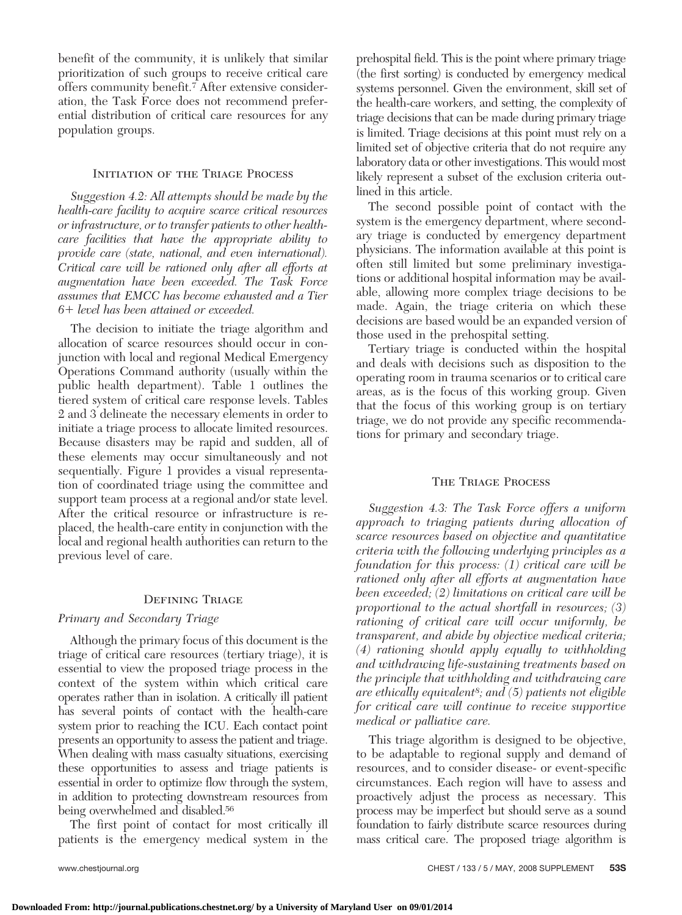benefit of the community, it is unlikely that similar prioritization of such groups to receive critical care offers community benefit.7 After extensive consideration, the Task Force does not recommend preferential distribution of critical care resources for any population groups.

## Initiation of the Triage Process

*Suggestion 4.2: All attempts should be made by the health-care facility to acquire scarce critical resources or infrastructure, or to transfer patients to other healthcare facilities that have the appropriate ability to provide care (state, national, and even international). Critical care will be rationed only after all efforts at augmentation have been exceeded. The Task Force assumes that EMCC has become exhausted and a Tier 6*- *level has been attained or exceeded.*

The decision to initiate the triage algorithm and allocation of scarce resources should occur in conjunction with local and regional Medical Emergency Operations Command authority (usually within the public health department). Table 1 outlines the tiered system of critical care response levels. Tables 2 and 3 delineate the necessary elements in order to initiate a triage process to allocate limited resources. Because disasters may be rapid and sudden, all of these elements may occur simultaneously and not sequentially. Figure 1 provides a visual representation of coordinated triage using the committee and support team process at a regional and/or state level. After the critical resource or infrastructure is replaced, the health-care entity in conjunction with the local and regional health authorities can return to the previous level of care.

### Defining Triage

## *Primary and Secondary Triage*

Although the primary focus of this document is the triage of critical care resources (tertiary triage), it is essential to view the proposed triage process in the context of the system within which critical care operates rather than in isolation. A critically ill patient has several points of contact with the health-care system prior to reaching the ICU. Each contact point presents an opportunity to assess the patient and triage. When dealing with mass casualty situations, exercising these opportunities to assess and triage patients is essential in order to optimize flow through the system, in addition to protecting downstream resources from being overwhelmed and disabled.56

The first point of contact for most critically ill patients is the emergency medical system in the

prehospital field. This is the point where primary triage (the first sorting) is conducted by emergency medical systems personnel. Given the environment, skill set of the health-care workers, and setting, the complexity of triage decisions that can be made during primary triage is limited. Triage decisions at this point must rely on a limited set of objective criteria that do not require any laboratory data or other investigations. This would most likely represent a subset of the exclusion criteria outlined in this article.

The second possible point of contact with the system is the emergency department, where secondary triage is conducted by emergency department physicians. The information available at this point is often still limited but some preliminary investigations or additional hospital information may be available, allowing more complex triage decisions to be made. Again, the triage criteria on which these decisions are based would be an expanded version of those used in the prehospital setting.

Tertiary triage is conducted within the hospital and deals with decisions such as disposition to the operating room in trauma scenarios or to critical care areas, as is the focus of this working group. Given that the focus of this working group is on tertiary triage, we do not provide any specific recommendations for primary and secondary triage.

### The Triage Process

*Suggestion 4.3: The Task Force offers a uniform approach to triaging patients during allocation of scarce resources based on objective and quantitative criteria with the following underlying principles as a foundation for this process: (1) critical care will be rationed only after all efforts at augmentation have been exceeded; (2) limitations on critical care will be proportional to the actual shortfall in resources; (3) rationing of critical care will occur uniformly, be transparent, and abide by objective medical criteria; (4) rationing should apply equally to withholding and withdrawing life-sustaining treatments based on the principle that withholding and withdrawing care are ethically equivalent8; and (5) patients not eligible for critical care will continue to receive supportive medical or palliative care.*

This triage algorithm is designed to be objective, to be adaptable to regional supply and demand of resources, and to consider disease- or event-specific circumstances. Each region will have to assess and proactively adjust the process as necessary. This process may be imperfect but should serve as a sound foundation to fairly distribute scarce resources during mass critical care. The proposed triage algorithm is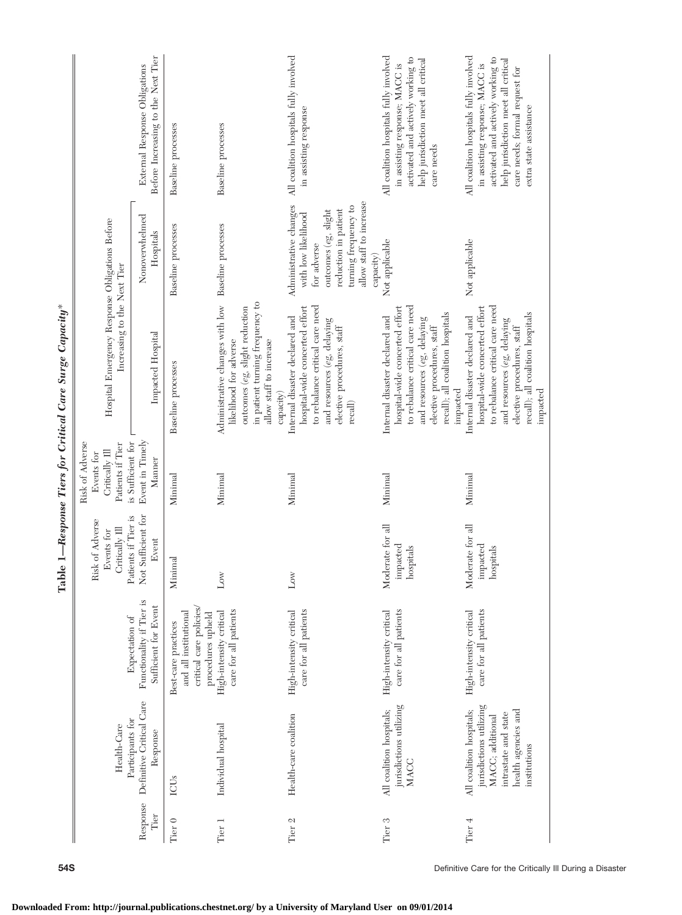|                                                                                          | Before Increasing to the Next Tier<br>External Response Obligations | Baseline processes                                                                           | Baseline processes                                                                                                                                                                        | All coalition hospitals fully involved<br>in assisting response                                                                                                                      | All coalition hospitals fully involved<br>activated and actively working to<br>help jurisdiction meet all critical<br>in assisting response; MACC is<br>care needs                                               | All coalition hospitals fully involved<br>activated and actively working to<br>help jurisdiction meet all critical<br>in assisting response; MACC is<br>care needs; formal request for<br>extra state assistance |
|------------------------------------------------------------------------------------------|---------------------------------------------------------------------|----------------------------------------------------------------------------------------------|-------------------------------------------------------------------------------------------------------------------------------------------------------------------------------------------|--------------------------------------------------------------------------------------------------------------------------------------------------------------------------------------|------------------------------------------------------------------------------------------------------------------------------------------------------------------------------------------------------------------|------------------------------------------------------------------------------------------------------------------------------------------------------------------------------------------------------------------|
|                                                                                          | Nonoverwhelmed<br>Hospitals                                         | Baseline processes                                                                           |                                                                                                                                                                                           | allow staff to increase<br>Administrative changes<br>tuming frequency to<br>reduction in patient<br>outcomes $(e$ g, slight<br>with low likelihood<br>for adverse<br>capacity)       | Not applicable                                                                                                                                                                                                   | Not applicable                                                                                                                                                                                                   |
| Hospital Emergency Response Obligations Before<br>Increasing to the Next Tier            | Impacted Hospital                                                   | Baseline processes                                                                           | Administrative changes with low Baseline processes<br>in patient turning frequency to<br>outcomes (eg, slight reduction<br>allow staff to increase<br>likelihood for adverse<br>capacity) | to rebalance critical care need<br>hospital-wide concerted effort<br>Internal disaster declared and<br>and resources (eg, delaying<br>elective procedures, staff<br>$_{\rm recall})$ | to rebalance critical care need<br>hospital-wide concerted effort<br>recall); all coalition hospitals<br>Internal disaster declared and<br>and resources (eg, delaying<br>elective procedures, staff<br>impacted | to rebalance critical care need<br>hospital-wide concerted effort<br>recall); all coalition hospitals<br>Internal disaster declared and<br>and resources (eg, delaying<br>elective procedures, staff<br>impacted |
| is Sufficient for<br>Risk of Adverse<br>Patients if Tier<br>Critically Ill<br>Events for | Event in Timely<br>Manner                                           | Minimal                                                                                      | Mininal                                                                                                                                                                                   | Mininal                                                                                                                                                                              | Mininal                                                                                                                                                                                                          | Minimal                                                                                                                                                                                                          |
| Patients if Tier is<br>Risk of Adverse<br>Critically Ill<br>Events for                   | Not Sufficient for<br>Event                                         | Minimal                                                                                      | Low                                                                                                                                                                                       | $_{\rm Low}$                                                                                                                                                                         | Moderate for all<br>impacted<br>hospitals                                                                                                                                                                        | Moderate for all<br>impacted<br>hospitals                                                                                                                                                                        |
| Expectation of                                                                           | Functionality if Tier is<br>Sufficient for Event                    | critical care policies/<br>and all institutional<br>procedures upheld<br>Best-care practices | care for all patients<br>High-intensity critical                                                                                                                                          | High-intensity critical<br>care for all patients                                                                                                                                     | care for all patients<br>High-intensity critical                                                                                                                                                                 | High-intensity critical<br>care for all patients                                                                                                                                                                 |
| Health-Care                                                                              | Definitive Critical Care<br>Participants for<br>Response            | <b>ICUs</b>                                                                                  | Individual hospital                                                                                                                                                                       | Health-care coalition                                                                                                                                                                | jurisdictions utilizing<br>All coalition hospitals;<br>MACC                                                                                                                                                      | jurisdictions utilizing<br>All coalition hospitals;<br>health agencies and<br>intrastate and state<br>MACC; additional<br>institutions                                                                           |
|                                                                                          | Response<br>Tier                                                    | Tier <sub>0</sub>                                                                            | Tier 1                                                                                                                                                                                    | Tier <sub>2</sub>                                                                                                                                                                    | Tier <sub>3</sub>                                                                                                                                                                                                | Tier <sub>4</sub>                                                                                                                                                                                                |

Table 1-Response Tiers for Critical Care Surge Capacity\* **Table 1—***Response Tiers for Critical Care Surge Capacity*\*

**54S** Definitive Care for the Critically III During a Disaster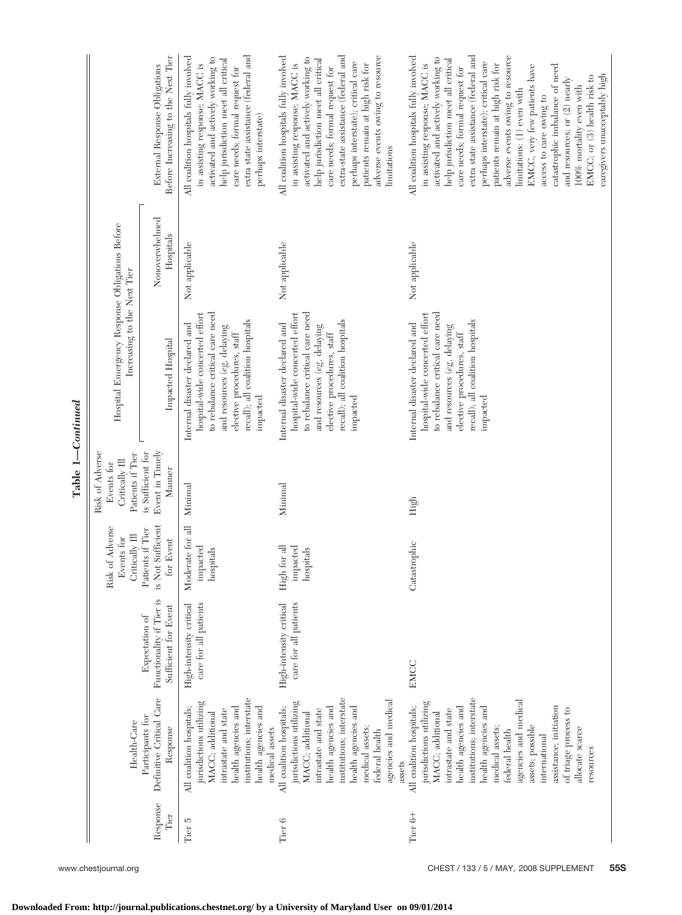|                                                                               | Before Increasing to the Next Tier<br>External Response Obligations | extra state assistance (federal and<br>All coalition hospitals fully involved<br>activated and actively working to<br>help jurisdiction meet all critical<br>in assisting response; MACC is<br>care needs; formal request for<br>perhaps interstate) | extra-state assistance (federal and<br>adverse events owing to resource<br>All coalition hospitals fully involved<br>activated and actively working to<br>help jurisdiction meet all critical<br>perhaps interstate); critical care<br>in assisting response; MACC is<br>patients remain at high risk for<br>care needs; formal request for<br>limitations | extra state assistance (federal and<br>adverse events owing to resource<br>All coalition hospitals fully involved<br>activated and actively working to<br>help jurisdiction meet all critical<br>perhaps interstate); critical care<br>in assisting response; MACC is<br>patients remain at high risk for<br>catastrophic imbalance of need<br>care needs; formal request for<br>EMCC, very few patients have<br>caregivers unacceptably high<br>EMCC; or (3) health risk to<br>and resources; or (2) nearly<br>100% mortality even with<br>limitations: $(1)$ even with<br>access to care owing to |
|-------------------------------------------------------------------------------|---------------------------------------------------------------------|------------------------------------------------------------------------------------------------------------------------------------------------------------------------------------------------------------------------------------------------------|------------------------------------------------------------------------------------------------------------------------------------------------------------------------------------------------------------------------------------------------------------------------------------------------------------------------------------------------------------|-----------------------------------------------------------------------------------------------------------------------------------------------------------------------------------------------------------------------------------------------------------------------------------------------------------------------------------------------------------------------------------------------------------------------------------------------------------------------------------------------------------------------------------------------------------------------------------------------------|
|                                                                               | Nonoverwhelmed<br>Hospitals                                         | Not applicable                                                                                                                                                                                                                                       | Not applicable                                                                                                                                                                                                                                                                                                                                             | Not applicable                                                                                                                                                                                                                                                                                                                                                                                                                                                                                                                                                                                      |
| Hospital Emergency Response Obligations Before<br>Increasing to the Next Tier | Impacted Hospital                                                   | to rebalance critical care need<br>hospital-wide concerted effort<br>recall); all coalition hospitals<br>Internal disaster declared and<br>and resources (eg, delaying<br>elective procedures, staff<br>impacted                                     | hospital-wide concerted effort<br>to rebalance critical care need<br>recall); all coalition hospitals<br>Internal disaster declared and<br>and resources (eg, delaying<br>elective procedures, staff<br>impacted                                                                                                                                           | hospital-wide concerted effort<br>to rebalance critical care need<br>recall); all coalition hospitals<br>Internal disaster declared and<br>and resources (eg, delaying<br>elective procedures, staff<br>impacted                                                                                                                                                                                                                                                                                                                                                                                    |
| Risk of Adverse<br>Patients if Tier<br>Critically Ill<br>Events for           | Event in Timely<br>is Sufficient for<br>Manner                      | Minimal                                                                                                                                                                                                                                              | Minimal                                                                                                                                                                                                                                                                                                                                                    | High                                                                                                                                                                                                                                                                                                                                                                                                                                                                                                                                                                                                |
| Risk of Adverse<br>Critically Ill<br>Events for                               | is Not Sufficient<br>Patients if Tier<br>for Event                  | Moderate for all<br>impacted<br>hospitals                                                                                                                                                                                                            | High for all<br>impacted<br>hospitals                                                                                                                                                                                                                                                                                                                      | Catastrophic                                                                                                                                                                                                                                                                                                                                                                                                                                                                                                                                                                                        |
|                                                                               | Functionality if Tier is<br>Sufficient for Event<br>Expectation of  | care for all patients<br>High-intensity critical                                                                                                                                                                                                     | care for all patients<br>High-intensity critical                                                                                                                                                                                                                                                                                                           | EMCC                                                                                                                                                                                                                                                                                                                                                                                                                                                                                                                                                                                                |
| Health-Care                                                                   | Definitive Critical Care<br>Participants for<br>Response            | institutions; interstate<br>jurisdictions utilizing<br>health agencies and<br>All coalition hospitals;<br>health agencies and<br>intrastate and state<br>MACC; additional<br>medical assets                                                          | institutions; interstate<br>agencies and medical<br>jurisdictions utilizing<br>health agencies and<br>All coalition hospitals;<br>health agencies and<br>intrastate and state<br>MACC; additional<br>medical assets;<br>federal health<br>assets                                                                                                           | institutions; interstate<br>agencies and medical<br>jurisdictions utilizing<br>assistance; initiation<br>All coalition hospitals;<br>health agencies and<br>health agencies and<br>of triage process to<br>intrastate and state<br>MACC; additional<br>assets; possible<br>medical assets;<br>allocate scarce<br>federal health<br>international<br>resources                                                                                                                                                                                                                                       |
|                                                                               | Response<br>Tier                                                    | Tier 5                                                                                                                                                                                                                                               | Tier <sub>6</sub>                                                                                                                                                                                                                                                                                                                                          | Tier 6+                                                                                                                                                                                                                                                                                                                                                                                                                                                                                                                                                                                             |

Table 1-Continued **Table 1—***Continued*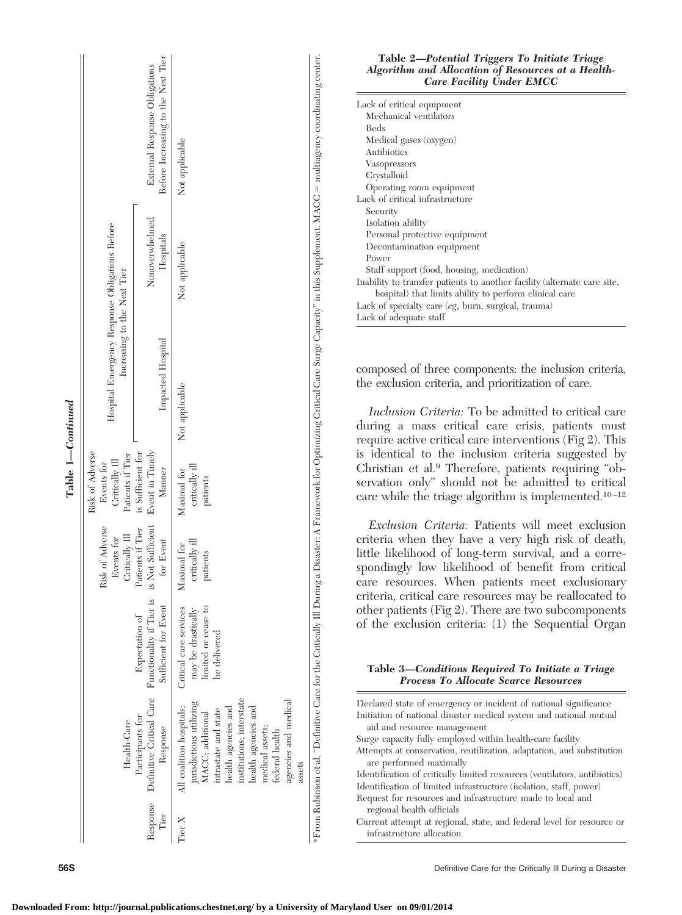|                   |                                                                               | Before Increasing to the Next Tier<br>External Response Obligations               | Not applicable                                                                                                                                                                                                                                   | *From Rubinson et al, "Definitive Care for the Critically Ill During a Disaster: A Framework for Optimizing Critical Care Surge Capacity" in this Supplement. MACC = multiagency coordinating center. |
|-------------------|-------------------------------------------------------------------------------|-----------------------------------------------------------------------------------|--------------------------------------------------------------------------------------------------------------------------------------------------------------------------------------------------------------------------------------------------|-------------------------------------------------------------------------------------------------------------------------------------------------------------------------------------------------------|
|                   |                                                                               | Nonoverwhelmed<br>Hospitals                                                       | Not applicable                                                                                                                                                                                                                                   |                                                                                                                                                                                                       |
|                   | Hospital Emergency Response Obligations Before<br>Increasing to the Next Tier | Impacted Hospital                                                                 | Not applicable                                                                                                                                                                                                                                   |                                                                                                                                                                                                       |
| Table 1–Continued | Risk of Adverse<br>Patients if Tier<br>Critically Ill<br>Events for           | Event in Timely<br>is Sufficient for<br>Manner                                    | critically ill<br>Maximal for<br>patients                                                                                                                                                                                                        |                                                                                                                                                                                                       |
|                   | Risk of Adverse<br>Critically Ill<br>Events for                               | Not Sufficient<br>Patients if Tier<br>for Event<br>$\overline{\mathbf{s}}$        | $critically$ ill<br>Maximal for<br>patients                                                                                                                                                                                                      |                                                                                                                                                                                                       |
|                   |                                                                               | Sufficient for Event<br>Expectation of                                            | limited or cease to<br>Critical care services<br>may be drastically<br>be delivered                                                                                                                                                              |                                                                                                                                                                                                       |
|                   | Health-Care                                                                   | Definitive Critical Care Functionality if Tier is<br>Participants for<br>Response | institutions; interstate<br>agencies and medical<br>jurisdictions utilizing<br>All coalition hospitals;<br>health agencies and<br>health agencies and<br>intrastate and state<br>MACC; additional<br>medical assets;<br>federal health<br>assets |                                                                                                                                                                                                       |
|                   |                                                                               | Response<br>Tier                                                                  | Tier X                                                                                                                                                                                                                                           |                                                                                                                                                                                                       |

| Table 2-Potential Triggers To Initiate Triage      |
|----------------------------------------------------|
| Algorithm and Allocation of Resources at a Health- |
| <b>Care Facility Under EMCC</b>                    |

| Lack of critical equipment                                               |
|--------------------------------------------------------------------------|
| Mechanical ventilators                                                   |
| <b>Beds</b>                                                              |
| Medical gases (oxygen)                                                   |
| Antibiotics                                                              |
| Vasopressors                                                             |
| Crystalloid                                                              |
| Operating room equipment                                                 |
| Lack of critical infrastructure                                          |
| Security                                                                 |
| Isolation ability                                                        |
| Personal protective equipment                                            |
| Decontamination equipment                                                |
| Power                                                                    |
| Staff support (food, housing, medication)                                |
| Inability to transfer patients to another facility (alternate care site, |
| hospital) that limits ability to perform clinical care                   |
| Lack of specialty care (eg, burn, surgical, trauma)                      |
| Lack of adequate staff                                                   |

composed of three components: the inclusion criteria, the exclusion criteria, and prioritization of care.

*Inclusion Criteria:* To be admitted to critical care during a mass critical care crisis, patients must require active critical care interventions (Fig 2). This is identical to the inclusion criteria suggested by Christian et al.9 Therefore, patients requiring "observation only" should not be admitted to critical care while the triage algorithm is implemented.<sup>10-12</sup>

*Exclusion Criteria:* Patients will meet exclusion criteria when they have a very high risk of death, little likelihood of long-term survival, and a correspondingly low likelihood of benefit from critical care resources. When patients meet exclusionary criteria, critical care resources may be reallocated to other patients (Fig 2). There are two subcomponents of the exclusion criteria: (1) the Sequential Organ

#### **Table 3—***Conditions Required To Initiate a Triage Process To Allocate Scarce Resources*

Declared state of emergency or incident of national significance Initiation of national disaster medical system and national mutual aid and resource management

Surge capacity fully employed within health-care facility

Attempts at conservation, reutilization, adaptation, and substitution are performed maximally

Identification of critically limited resources (ventilators, antibiotics) Identification of limited infrastructure (isolation, staff, power) Request for resources and infrastructure made to local and

regional health officials

Current attempt at regional, state, and federal level for resource or infrastructure allocation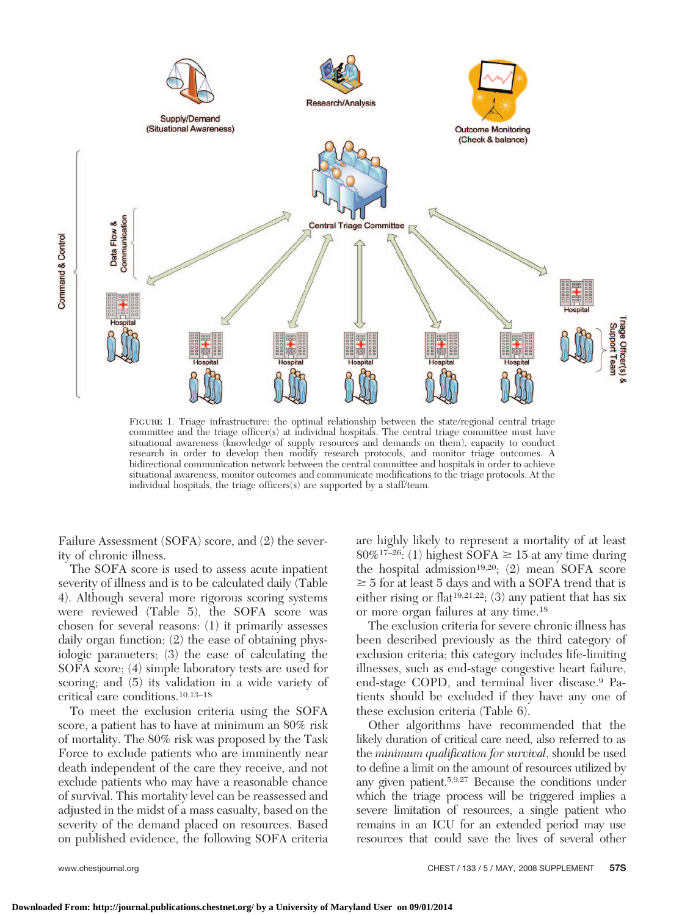

Figure 1. Triage infrastructure: the optimal relationship between the state/regional central triage committee and the triage officer(s) at individual hospitals. The central triage committee must have situational awareness (knowledge of supply resources and demands on them), capacity to conduct research in order to develop then modify research protocols, and monitor triage outcomes. A bidirectional communication network between the central committee and hospitals in order to achieve situational awareness, monitor outcomes and communicate modifications to the triage protocols. At the individual hospitals, the triage officers(s) are supported by a staff/team.

Failure Assessment (SOFA) score, and (2) the severity of chronic illness.

The SOFA score is used to assess acute inpatient severity of illness and is to be calculated daily (Table 4). Although several more rigorous scoring systems were reviewed (Table 5), the SOFA score was chosen for several reasons: (1) it primarily assesses daily organ function; (2) the ease of obtaining physiologic parameters; (3) the ease of calculating the SOFA score; (4) simple laboratory tests are used for scoring; and (5) its validation in a wide variety of critical care conditions.10,13–18

To meet the exclusion criteria using the SOFA score, a patient has to have at minimum an 80% risk of mortality. The 80% risk was proposed by the Task Force to exclude patients who are imminently near death independent of the care they receive, and not exclude patients who may have a reasonable chance of survival. This mortality level can be reassessed and adjusted in the midst of a mass casualty, based on the severity of the demand placed on resources. Based on published evidence, the following SOFA criteria are highly likely to represent a mortality of at least  $80\%$ <sup>17–26</sup>: (1) highest SOFA  $\geq 15$  at any time during the hospital admission<sup>19,20</sup>; (2) mean SOFA score  $\geq$  5 for at least 5 days and with a SOFA trend that is either rising or flat<sup>19,21,22</sup>; (3) any patient that has six or more organ failures at any time.18

The exclusion criteria for severe chronic illness has been described previously as the third category of exclusion criteria; this category includes life-limiting illnesses, such as end-stage congestive heart failure, end-stage COPD, and terminal liver disease.9 Patients should be excluded if they have any one of these exclusion criteria (Table 6).

Other algorithms have recommended that the likely duration of critical care need, also referred to as the *minimum qualification for survival*, should be used to define a limit on the amount of resources utilized by any given patient.5,9,27 Because the conditions under which the triage process will be triggered implies a severe limitation of resources, a single patient who remains in an ICU for an extended period may use resources that could save the lives of several other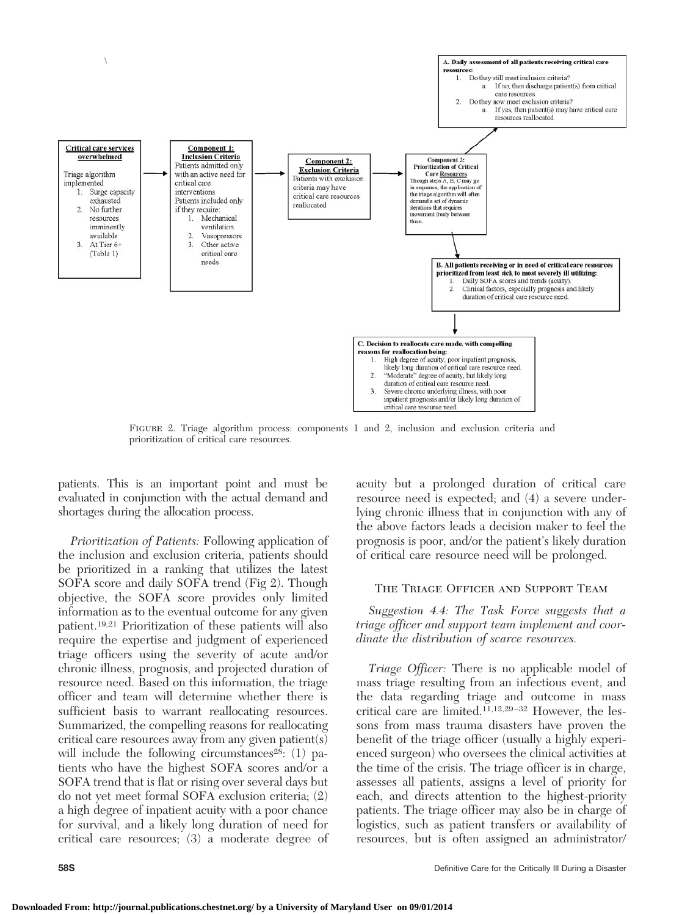

FIGURE 2. Triage algorithm process: components 1 and 2, inclusion and exclusion criteria and prioritization of critical care resources.

patients. This is an important point and must be evaluated in conjunction with the actual demand and shortages during the allocation process.

*Prioritization of Patients:* Following application of the inclusion and exclusion criteria, patients should be prioritized in a ranking that utilizes the latest SOFA score and daily SOFA trend (Fig 2). Though objective, the SOFA score provides only limited information as to the eventual outcome for any given patient.19,21 Prioritization of these patients will also require the expertise and judgment of experienced triage officers using the severity of acute and/or chronic illness, prognosis, and projected duration of resource need. Based on this information, the triage officer and team will determine whether there is sufficient basis to warrant reallocating resources. Summarized, the compelling reasons for reallocating critical care resources away from any given patient(s) will include the following circumstances<sup>28</sup>:  $(1)$  patients who have the highest SOFA scores and/or a SOFA trend that is flat or rising over several days but do not yet meet formal SOFA exclusion criteria; (2) a high degree of inpatient acuity with a poor chance for survival, and a likely long duration of need for critical care resources; (3) a moderate degree of acuity but a prolonged duration of critical care resource need is expected; and (4) a severe underlying chronic illness that in conjunction with any of the above factors leads a decision maker to feel the prognosis is poor, and/or the patient's likely duration of critical care resource need will be prolonged.

#### THE TRIAGE OFFICER AND SUPPORT TEAM

*Suggestion 4.4: The Task Force suggests that a triage officer and support team implement and coordinate the distribution of scarce resources.*

*Triage Officer:* There is no applicable model of mass triage resulting from an infectious event, and the data regarding triage and outcome in mass critical care are limited.<sup>11,12,29-32</sup> However, the lessons from mass trauma disasters have proven the benefit of the triage officer (usually a highly experienced surgeon) who oversees the clinical activities at the time of the crisis. The triage officer is in charge, assesses all patients, assigns a level of priority for each, and directs attention to the highest-priority patients. The triage officer may also be in charge of logistics, such as patient transfers or availability of resources, but is often assigned an administrator/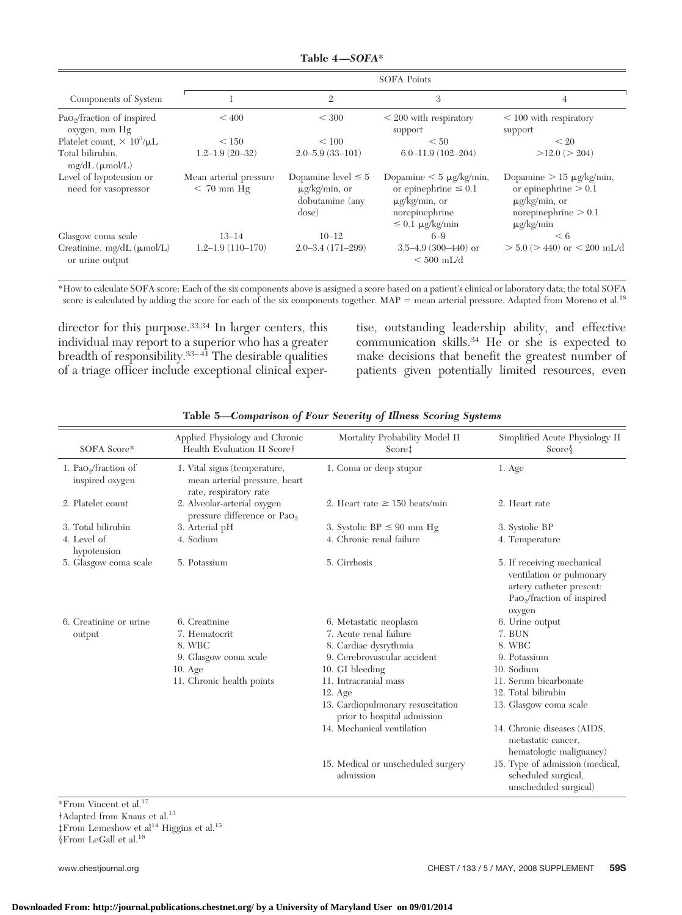|                                                                             | <b>SOFA Points</b>                     |                                                                           |                                                                                                                                |                                                                                                                            |  |
|-----------------------------------------------------------------------------|----------------------------------------|---------------------------------------------------------------------------|--------------------------------------------------------------------------------------------------------------------------------|----------------------------------------------------------------------------------------------------------------------------|--|
| Components of System                                                        |                                        | $\overline{2}$                                                            | 3                                                                                                                              | 4                                                                                                                          |  |
| $PaO2/fraction$ of inspired<br>oxygen, mm Hg                                | ${}<$ 400                              | < 300                                                                     | $\leq$ 200 with respiratory<br>support                                                                                         | $< 100$ with respiratory<br>support                                                                                        |  |
| Platelet count, $\times 10^3/\mu L$                                         | < 150                                  | < 100                                                                     | < 50                                                                                                                           | $\leq 20$                                                                                                                  |  |
| Total bilirubin.<br>$mg/dL$ ( $\mu$ mol/L)                                  | $1.2 - 1.9(20 - 32)$                   | $2.0 - 5.9(33 - 101)$                                                     | $6.0 - 11.9(102 - 204)$                                                                                                        | $>12.0$ ( $>204$ )                                                                                                         |  |
| Level of hypotension or<br>need for vasopressor                             | Mean arterial pressure<br>$< 70$ mm Hg | Dopamine level $\leq 5$<br>$\mu$ g/kg/min, or<br>dobutamine (any<br>dose) | Dopamine $\lt 5 \mu$ g/kg/min,<br>or epinephrine $\leq 0.1$<br>$\mu$ g/kg/min, or<br>norepinephrine<br>$\leq 0.1 \mu g/kg/min$ | Dopamine $> 15 \mu g/kg/min$ ,<br>or epinephrine $> 0.1$<br>$\mu$ g/kg/min, or<br>norepinephrine $> 0.1$<br>$\mu$ g/kg/min |  |
| Glasgow coma scale<br>Creatinine, $mg/dL$ ( $\mu$ mol/L)<br>or urine output | $13 - 14$<br>$1.2 - 1.9(110 - 170)$    | $10 - 12$<br>$2.0 - 3.4(171 - 299)$                                       | $6 - 9$<br>$3.5 - 4.9$ (300-440) or<br>$< 500$ mL/d                                                                            | $\leq 6$<br>$> 5.0$ ( $> 440$ ) or $< 200$ mL/d                                                                            |  |

**Table 4—***SOFA*\*

\*How to calculate SOFA score: Each of the six components above is assigned a score based on a patient's clinical or laboratory data; the total SOFA score is calculated by adding the score for each of the six components together.  $MAP = \text{mean}$  arterial pressure. Adapted from Moreno et al.<sup>18</sup>

director for this purpose.<sup>33,34</sup> In larger centers, this individual may report to a superior who has a greater breadth of responsibility. $33-41$  The desirable qualities of a triage officer include exceptional clinical exper-

tise, outstanding leadership ability, and effective communication skills.34 He or she is expected to make decisions that benefit the greatest number of patients given potentially limited resources, even

| SOFA Score*                                         | Applied Physiology and Chronic<br>Health Evaluation II Score                            | Mortality Probability Model II<br>Score:                         | Simplified Acute Physiology II<br>$Score\$                                                                                             |
|-----------------------------------------------------|-----------------------------------------------------------------------------------------|------------------------------------------------------------------|----------------------------------------------------------------------------------------------------------------------------------------|
| 1. Pao <sub>2</sub> /fraction of<br>inspired oxygen | 1. Vital signs (temperature,<br>mean arterial pressure, heart<br>rate, respiratory rate | 1. Coma or deep stupor                                           | $1. \text{Age}$                                                                                                                        |
| 2. Platelet count                                   | 2. Alveolar-arterial oxygen<br>pressure difference or PaO <sub>2</sub>                  | 2. Heart rate $\geq 150$ beats/min                               | 2. Heart rate                                                                                                                          |
| 3. Total bilirubin                                  | 3. Arterial pH                                                                          | 3. Systolic BP $\leq 90$ mm Hg                                   | 3. Systolic BP                                                                                                                         |
| 4. Level of<br>hypotension                          | 4. Sodium                                                                               | 4. Chronic renal failure                                         | 4. Temperature                                                                                                                         |
| 5. Glasgow coma scale                               | 5. Potassium                                                                            | 5. Cirrhosis                                                     | 5. If receiving mechanical<br>ventilation or pulmonary<br>artery catheter present:<br>PaO <sub>2</sub> /fraction of inspired<br>oxygen |
| 6. Creatinine or urine                              | 6. Creatinine                                                                           | 6. Metastatic neoplasm                                           | 6. Urine output                                                                                                                        |
| output                                              | 7. Hematocrit                                                                           | 7. Acute renal failure                                           | 7. BUN                                                                                                                                 |
|                                                     | 8. WBC                                                                                  | 8. Cardiac dysrythmia                                            | 8. WBC                                                                                                                                 |
|                                                     | 9. Glasgow coma scale                                                                   | 9. Cerebrovascular accident                                      | 9. Potassium                                                                                                                           |
|                                                     | $10. \text{Age}$                                                                        | 10. GI bleeding                                                  | 10. Sodium                                                                                                                             |
|                                                     | 11. Chronic health points                                                               | 11. Intracranial mass                                            | 11. Serum bicarbonate                                                                                                                  |
|                                                     |                                                                                         | $12.$ Age                                                        | 12. Total bilirubin                                                                                                                    |
|                                                     |                                                                                         | 13. Cardiopulmonary resuscitation<br>prior to hospital admission | 13. Glasgow coma scale                                                                                                                 |
|                                                     |                                                                                         | 14. Mechanical ventilation                                       | 14. Chronic diseases (AIDS,<br>metastatic cancer.<br>hematologic malignancy)                                                           |
|                                                     |                                                                                         | 15. Medical or unscheduled surgery<br>admission                  | 15. Type of admission (medical,<br>scheduled surgical,<br>unscheduled surgical)                                                        |

**Table 5—***Comparison of Four Severity of Illness Scoring Systems*

 $\rm ^{\ast}$  From Vincent et al.<br>17

‡From Lemeshow et al<sup>14</sup> Higgins et al.<sup>15</sup>

<sup>†</sup>Adapted from Knaus et al.<sup>13</sup>

 $\$  From LeGall et al.<br> $^{16}$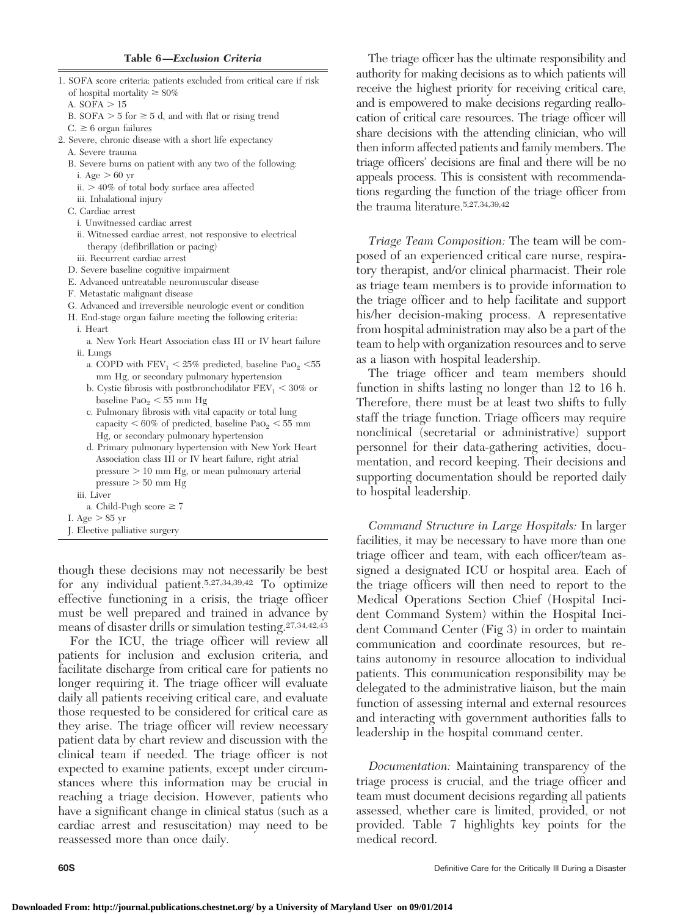- 1. SOFA score criteria: patients excluded from critical care if risk of hospital mortality  $\geq 80\%$ 
	- A.  $SOFA > 15$
	- B. SOFA  $>$  5 for  $\geq$  5 d, and with flat or rising trend  $C_{\cdot} \geq 6$  organ failures
- 2. Severe, chronic disease with a short life expectancy
	- A. Severe trauma
	- B. Severe burns on patient with any two of the following: i. Age  $> 60$  yr
		- ii.  $>40\%$  of total body surface area affected
		- iii. Inhalational injury
	- C. Cardiac arrest
		- i. Unwitnessed cardiac arrest
		- ii. Witnessed cardiac arrest, not responsive to electrical therapy (defibrillation or pacing)
		- iii. Recurrent cardiac arrest
	- D. Severe baseline cognitive impairment
	- E. Advanced untreatable neuromuscular disease
	- F. Metastatic malignant disease
	- G. Advanced and irreversible neurologic event or condition
	- H. End-stage organ failure meeting the following criteria:
		- i. Heart
		- a. New York Heart Association class III or IV heart failure ii. Lungs
			- a. COPD with  $\text{FEV}_1 < 25\%$  predicted, baseline Pao<sub>2</sub> <55 mm Hg, or secondary pulmonary hypertension
			- b. Cystic fibrosis with postbronchodilator  $FEV<sub>1</sub> < 30\%$  or baseline Pa $o_2 < 55$  mm Hg
			- c. Pulmonary fibrosis with vital capacity or total lung capacity  $< 60\%$  of predicted, baseline Pao<sub>2</sub>  $< 55$  mm Hg, or secondary pulmonary hypertension
			- d. Primary pulmonary hypertension with New York Heart Association class III or IV heart failure, right atrial  $presure > 10$  mm Hg, or mean pulmonary arterial  $pressure > 50$  mm Hg
		- iii. Liver
		- a. Child-Pugh score  $\geq 7$
	- I. Age  $> 85$  yr
- J. Elective palliative surgery

though these decisions may not necessarily be best for any individual patient.5,27,34,39,42 To optimize effective functioning in a crisis, the triage officer must be well prepared and trained in advance by means of disaster drills or simulation testing.27,34,42,43

For the ICU, the triage officer will review all patients for inclusion and exclusion criteria, and facilitate discharge from critical care for patients no longer requiring it. The triage officer will evaluate daily all patients receiving critical care, and evaluate those requested to be considered for critical care as they arise. The triage officer will review necessary patient data by chart review and discussion with the clinical team if needed. The triage officer is not expected to examine patients, except under circumstances where this information may be crucial in reaching a triage decision. However, patients who have a significant change in clinical status (such as a cardiac arrest and resuscitation) may need to be reassessed more than once daily.

The triage officer has the ultimate responsibility and authority for making decisions as to which patients will receive the highest priority for receiving critical care, and is empowered to make decisions regarding reallocation of critical care resources. The triage officer will share decisions with the attending clinician, who will then inform affected patients and family members. The triage officers' decisions are final and there will be no appeals process. This is consistent with recommendations regarding the function of the triage officer from the trauma literature.5,27,34,39,42

*Triage Team Composition:* The team will be composed of an experienced critical care nurse, respiratory therapist, and/or clinical pharmacist. Their role as triage team members is to provide information to the triage officer and to help facilitate and support his/her decision-making process. A representative from hospital administration may also be a part of the team to help with organization resources and to serve as a liason with hospital leadership.

The triage officer and team members should function in shifts lasting no longer than 12 to 16 h. Therefore, there must be at least two shifts to fully staff the triage function. Triage officers may require nonclinical (secretarial or administrative) support personnel for their data-gathering activities, documentation, and record keeping. Their decisions and supporting documentation should be reported daily to hospital leadership.

*Command Structure in Large Hospitals:* In larger facilities, it may be necessary to have more than one triage officer and team, with each officer/team assigned a designated ICU or hospital area. Each of the triage officers will then need to report to the Medical Operations Section Chief (Hospital Incident Command System) within the Hospital Incident Command Center (Fig 3) in order to maintain communication and coordinate resources, but retains autonomy in resource allocation to individual patients. This communication responsibility may be delegated to the administrative liaison, but the main function of assessing internal and external resources and interacting with government authorities falls to leadership in the hospital command center.

*Documentation:* Maintaining transparency of the triage process is crucial, and the triage officer and team must document decisions regarding all patients assessed, whether care is limited, provided, or not provided. Table 7 highlights key points for the medical record.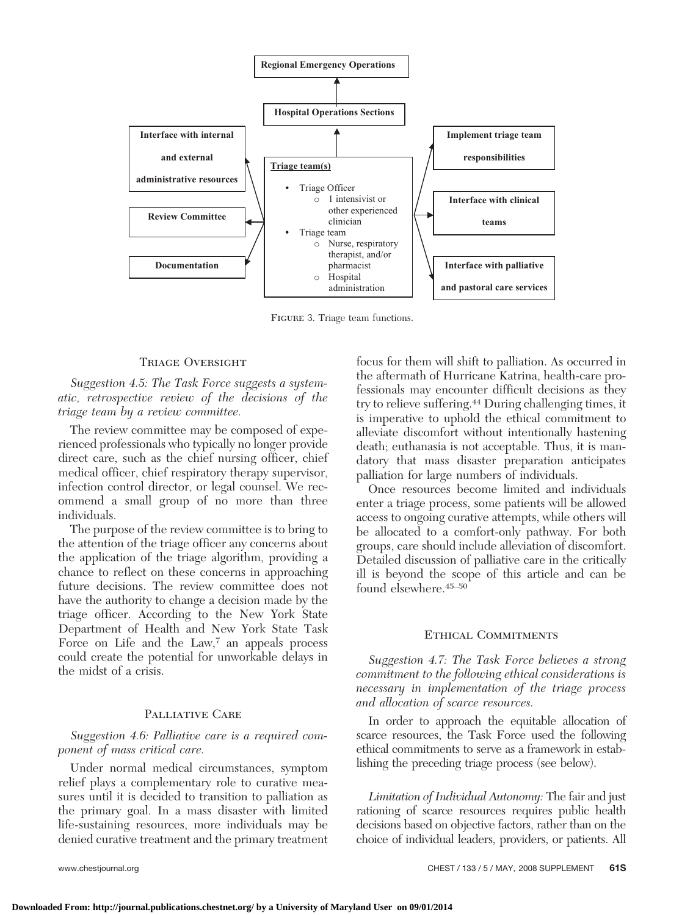

Figure 3. Triage team functions.

#### Triage Oversight

*Suggestion 4.5: The Task Force suggests a systematic, retrospective review of the decisions of the triage team by a review committee.*

The review committee may be composed of experienced professionals who typically no longer provide direct care, such as the chief nursing officer, chief medical officer, chief respiratory therapy supervisor, infection control director, or legal counsel. We recommend a small group of no more than three individuals.

The purpose of the review committee is to bring to the attention of the triage officer any concerns about the application of the triage algorithm, providing a chance to reflect on these concerns in approaching future decisions. The review committee does not have the authority to change a decision made by the triage officer. According to the New York State Department of Health and New York State Task Force on Life and the  $Law<sub>7</sub>$  an appeals process could create the potential for unworkable delays in the midst of a crisis.

## PALLIATIVE CARE

## *Suggestion 4.6: Palliative care is a required component of mass critical care.*

Under normal medical circumstances, symptom relief plays a complementary role to curative measures until it is decided to transition to palliation as the primary goal. In a mass disaster with limited life-sustaining resources, more individuals may be denied curative treatment and the primary treatment

focus for them will shift to palliation. As occurred in the aftermath of Hurricane Katrina, health-care professionals may encounter difficult decisions as they try to relieve suffering.44 During challenging times, it is imperative to uphold the ethical commitment to alleviate discomfort without intentionally hastening death; euthanasia is not acceptable. Thus, it is mandatory that mass disaster preparation anticipates palliation for large numbers of individuals.

Once resources become limited and individuals enter a triage process, some patients will be allowed access to ongoing curative attempts, while others will be allocated to a comfort-only pathway. For both groups, care should include alleviation of discomfort. Detailed discussion of palliative care in the critically ill is beyond the scope of this article and can be found elsewhere.45–50

#### Ethical Commitments

*Suggestion 4.7: The Task Force believes a strong commitment to the following ethical considerations is necessary in implementation of the triage process and allocation of scarce resources.*

In order to approach the equitable allocation of scarce resources, the Task Force used the following ethical commitments to serve as a framework in establishing the preceding triage process (see below).

*Limitation of Individual Autonomy:* The fair and just rationing of scarce resources requires public health decisions based on objective factors, rather than on the choice of individual leaders, providers, or patients. All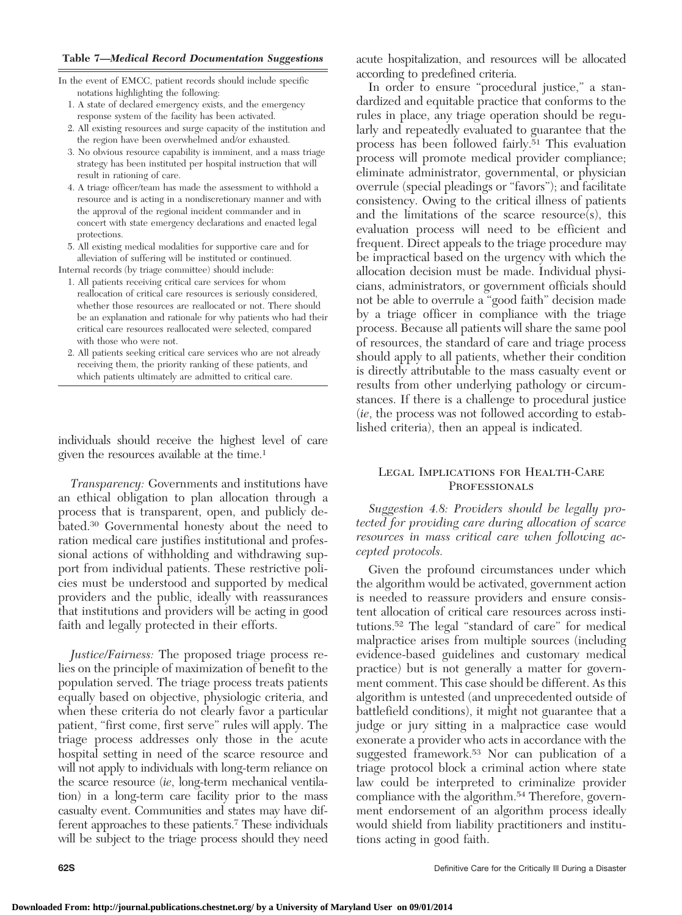#### **Table 7—***Medical Record Documentation Suggestions*

- In the event of EMCC, patient records should include specific notations highlighting the following:
	- 1. A state of declared emergency exists, and the emergency response system of the facility has been activated.
	- 2. All existing resources and surge capacity of the institution and the region have been overwhelmed and/or exhausted.
	- 3. No obvious resource capability is imminent, and a mass triage strategy has been instituted per hospital instruction that will result in rationing of care.
	- 4. A triage officer/team has made the assessment to withhold a resource and is acting in a nondiscretionary manner and with the approval of the regional incident commander and in concert with state emergency declarations and enacted legal protections.
	- 5. All existing medical modalities for supportive care and for alleviation of suffering will be instituted or continued.
- Internal records (by triage committee) should include: 1. All patients receiving critical care services for whom reallocation of critical care resources is seriously considered, whether those resources are reallocated or not. There should be an explanation and rationale for why patients who had their critical care resources reallocated were selected, compared with those who were not.
	- 2. All patients seeking critical care services who are not already receiving them, the priority ranking of these patients, and which patients ultimately are admitted to critical care.

individuals should receive the highest level of care given the resources available at the time.1

*Transparency:* Governments and institutions have an ethical obligation to plan allocation through a process that is transparent, open, and publicly debated.30 Governmental honesty about the need to ration medical care justifies institutional and professional actions of withholding and withdrawing support from individual patients. These restrictive policies must be understood and supported by medical providers and the public, ideally with reassurances that institutions and providers will be acting in good faith and legally protected in their efforts.

*Justice/Fairness:* The proposed triage process relies on the principle of maximization of benefit to the population served. The triage process treats patients equally based on objective, physiologic criteria, and when these criteria do not clearly favor a particular patient, "first come, first serve" rules will apply. The triage process addresses only those in the acute hospital setting in need of the scarce resource and will not apply to individuals with long-term reliance on the scarce resource (*ie*, long-term mechanical ventilation) in a long-term care facility prior to the mass casualty event. Communities and states may have different approaches to these patients.7 These individuals will be subject to the triage process should they need acute hospitalization, and resources will be allocated according to predefined criteria.

In order to ensure "procedural justice," a standardized and equitable practice that conforms to the rules in place, any triage operation should be regularly and repeatedly evaluated to guarantee that the process has been followed fairly.51 This evaluation process will promote medical provider compliance; eliminate administrator, governmental, or physician overrule (special pleadings or "favors"); and facilitate consistency. Owing to the critical illness of patients and the limitations of the scarce  $resource(s)$ , this evaluation process will need to be efficient and frequent. Direct appeals to the triage procedure may be impractical based on the urgency with which the allocation decision must be made. Individual physicians, administrators, or government officials should not be able to overrule a "good faith" decision made by a triage officer in compliance with the triage process. Because all patients will share the same pool of resources, the standard of care and triage process should apply to all patients, whether their condition is directly attributable to the mass casualty event or results from other underlying pathology or circumstances. If there is a challenge to procedural justice (*ie*, the process was not followed according to established criteria), then an appeal is indicated.

## Legal Implications for Health-Care **PROFESSIONALS**

*Suggestion 4.8: Providers should be legally protected for providing care during allocation of scarce resources in mass critical care when following accepted protocols.*

Given the profound circumstances under which the algorithm would be activated, government action is needed to reassure providers and ensure consistent allocation of critical care resources across institutions.52 The legal "standard of care" for medical malpractice arises from multiple sources (including evidence-based guidelines and customary medical practice) but is not generally a matter for government comment. This case should be different. As this algorithm is untested (and unprecedented outside of battlefield conditions), it might not guarantee that a judge or jury sitting in a malpractice case would exonerate a provider who acts in accordance with the suggested framework.53 Nor can publication of a triage protocol block a criminal action where state law could be interpreted to criminalize provider compliance with the algorithm.<sup>54</sup> Therefore, government endorsement of an algorithm process ideally would shield from liability practitioners and institutions acting in good faith.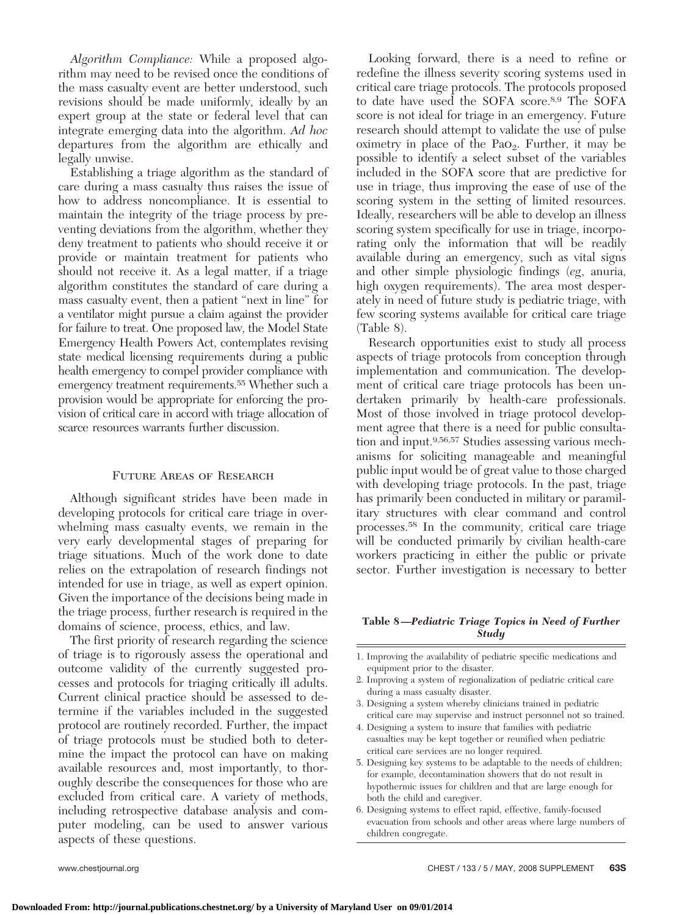*Algorithm Compliance:* While a proposed algorithm may need to be revised once the conditions of the mass casualty event are better understood, such revisions should be made uniformly, ideally by an expert group at the state or federal level that can integrate emerging data into the algorithm. *Ad hoc* departures from the algorithm are ethically and legally unwise.

Establishing a triage algorithm as the standard of care during a mass casualty thus raises the issue of how to address noncompliance. It is essential to maintain the integrity of the triage process by preventing deviations from the algorithm, whether they deny treatment to patients who should receive it or provide or maintain treatment for patients who should not receive it. As a legal matter, if a triage algorithm constitutes the standard of care during a mass casualty event, then a patient "next in line" for a ventilator might pursue a claim against the provider for failure to treat. One proposed law, the Model State Emergency Health Powers Act, contemplates revising state medical licensing requirements during a public health emergency to compel provider compliance with emergency treatment requirements.55 Whether such a provision would be appropriate for enforcing the provision of critical care in accord with triage allocation of scarce resources warrants further discussion.

### Future Areas of Research

Although significant strides have been made in developing protocols for critical care triage in overwhelming mass casualty events, we remain in the very early developmental stages of preparing for triage situations. Much of the work done to date relies on the extrapolation of research findings not intended for use in triage, as well as expert opinion. Given the importance of the decisions being made in the triage process, further research is required in the domains of science, process, ethics, and law.

The first priority of research regarding the science of triage is to rigorously assess the operational and outcome validity of the currently suggested processes and protocols for triaging critically ill adults. Current clinical practice should be assessed to determine if the variables included in the suggested protocol are routinely recorded. Further, the impact of triage protocols must be studied both to determine the impact the protocol can have on making available resources and, most importantly, to thoroughly describe the consequences for those who are excluded from critical care. A variety of methods, including retrospective database analysis and computer modeling, can be used to answer various aspects of these questions.

Looking forward, there is a need to refine or redefine the illness severity scoring systems used in critical care triage protocols. The protocols proposed to date have used the SOFA score.8,9 The SOFA score is not ideal for triage in an emergency. Future research should attempt to validate the use of pulse oximetry in place of the Pa $O_2$ . Further, it may be possible to identify a select subset of the variables included in the SOFA score that are predictive for use in triage, thus improving the ease of use of the scoring system in the setting of limited resources. Ideally, researchers will be able to develop an illness scoring system specifically for use in triage, incorporating only the information that will be readily available during an emergency, such as vital signs and other simple physiologic findings (*eg*, anuria, high oxygen requirements). The area most desperately in need of future study is pediatric triage, with few scoring systems available for critical care triage (Table 8).

Research opportunities exist to study all process aspects of triage protocols from conception through implementation and communication. The development of critical care triage protocols has been undertaken primarily by health-care professionals. Most of those involved in triage protocol development agree that there is a need for public consultation and input.9,56,57 Studies assessing various mechanisms for soliciting manageable and meaningful public input would be of great value to those charged with developing triage protocols. In the past, triage has primarily been conducted in military or paramilitary structures with clear command and control processes.58 In the community, critical care triage will be conducted primarily by civilian health-care workers practicing in either the public or private sector. Further investigation is necessary to better

#### **Table 8—***Pediatric Triage Topics in Need of Further Study*

- 1. Improving the availability of pediatric specific medications and equipment prior to the disaster. 2. Improving a system of regionalization of pediatric critical care
- during a mass casualty disaster.
- 3. Designing a system whereby clinicians trained in pediatric critical care may supervise and instruct personnel not so trained.
- 4. Designing a system to insure that families with pediatric casualties may be kept together or reunified when pediatric critical care services are no longer required.
- 5. Designing key systems to be adaptable to the needs of children; for example, decontamination showers that do not result in hypothermic issues for children and that are large enough for both the child and caregiver.
- 6. Designing systems to effect rapid, effective, family-focused evacuation from schools and other areas where large numbers of children congregate.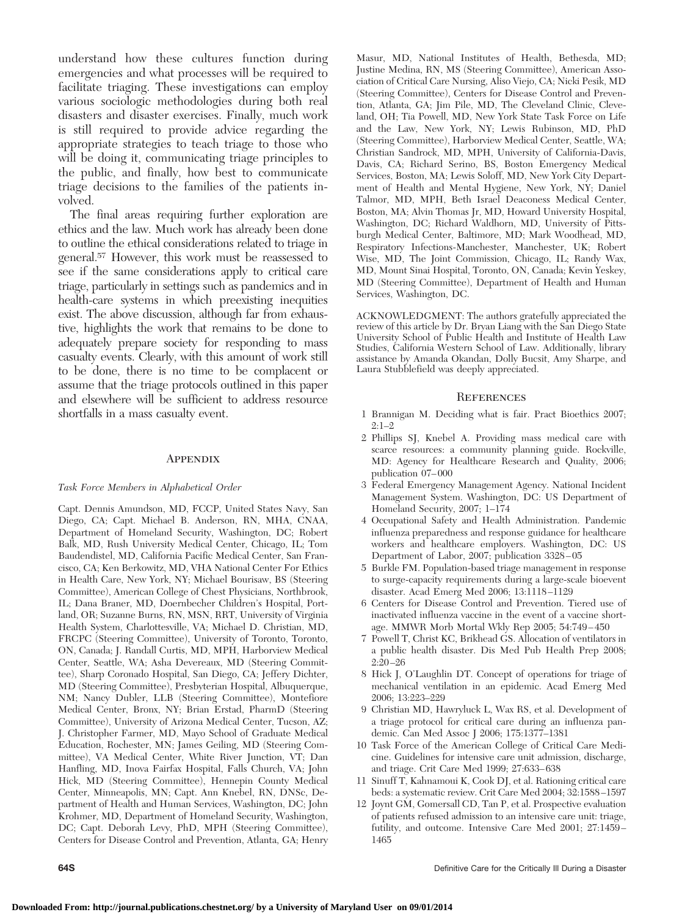understand how these cultures function during emergencies and what processes will be required to facilitate triaging. These investigations can employ various sociologic methodologies during both real disasters and disaster exercises. Finally, much work is still required to provide advice regarding the appropriate strategies to teach triage to those who will be doing it, communicating triage principles to the public, and finally, how best to communicate triage decisions to the families of the patients involved.

The final areas requiring further exploration are ethics and the law. Much work has already been done to outline the ethical considerations related to triage in general.57 However, this work must be reassessed to see if the same considerations apply to critical care triage, particularly in settings such as pandemics and in health-care systems in which preexisting inequities exist. The above discussion, although far from exhaustive, highlights the work that remains to be done to adequately prepare society for responding to mass casualty events. Clearly, with this amount of work still to be done, there is no time to be complacent or assume that the triage protocols outlined in this paper and elsewhere will be sufficient to address resource shortfalls in a mass casualty event.

#### **APPENDIX**

#### *Task Force Members in Alphabetical Order*

Capt. Dennis Amundson, MD, FCCP, United States Navy, San Diego, CA; Capt. Michael B. Anderson, RN, MHA, CNAA, Department of Homeland Security, Washington, DC; Robert Balk, MD, Rush University Medical Center, Chicago, IL; Tom Baudendistel, MD, California Pacific Medical Center, San Francisco, CA; Ken Berkowitz, MD, VHA National Center For Ethics in Health Care, New York, NY; Michael Bourisaw, BS (Steering Committee), American College of Chest Physicians, Northbrook, IL; Dana Braner, MD, Doernbecher Children's Hospital, Portland, OR; Suzanne Burns, RN, MSN, RRT, University of Virginia Health System, Charlottesville, VA; Michael D. Christian, MD, FRCPC (Steering Committee), University of Toronto, Toronto, ON, Canada; J. Randall Curtis, MD, MPH, Harborview Medical Center, Seattle, WA; Asha Devereaux, MD (Steering Committee), Sharp Coronado Hospital, San Diego, CA; Jeffery Dichter, MD (Steering Committee), Presbyterian Hospital, Albuquerque, NM; Nancy Dubler, LLB (Steering Committee), Montefiore Medical Center, Bronx, NY; Brian Erstad, PharmD (Steering Committee), University of Arizona Medical Center, Tucson, AZ; J. Christopher Farmer, MD, Mayo School of Graduate Medical Education, Rochester, MN; James Geiling, MD (Steering Committee), VA Medical Center, White River Junction, VT; Dan Hanfling, MD, Inova Fairfax Hospital, Falls Church, VA; John Hick, MD (Steering Committee), Hennepin County Medical Center, Minneapolis, MN; Capt. Ann Knebel, RN, DNSc, Department of Health and Human Services, Washington, DC; John Krohmer, MD, Department of Homeland Security, Washington, DC; Capt. Deborah Levy, PhD, MPH (Steering Committee), Centers for Disease Control and Prevention, Atlanta, GA; Henry

Masur, MD, National Institutes of Health, Bethesda, MD; Justine Medina, RN, MS (Steering Committee), American Association of Critical Care Nursing, Aliso Viejo, CA; Nicki Pesik, MD (Steering Committee), Centers for Disease Control and Prevention, Atlanta, GA; Jim Pile, MD, The Cleveland Clinic, Cleveland, OH; Tia Powell, MD, New York State Task Force on Life and the Law, New York, NY; Lewis Rubinson, MD, PhD (Steering Committee), Harborview Medical Center, Seattle, WA; Christian Sandrock, MD, MPH, University of California-Davis, Davis, CA; Richard Serino, BS, Boston Emergency Medical Services, Boston, MA; Lewis Soloff, MD, New York City Department of Health and Mental Hygiene, New York, NY; Daniel Talmor, MD, MPH, Beth Israel Deaconess Medical Center, Boston, MA; Alvin Thomas Jr, MD, Howard University Hospital, Washington, DC; Richard Waldhorn, MD, University of Pittsburgh Medical Center, Baltimore, MD; Mark Woodhead, MD, Respiratory Infections-Manchester, Manchester, UK; Robert Wise, MD, The Joint Commission, Chicago, IL; Randy Wax, MD, Mount Sinai Hospital, Toronto, ON, Canada; Kevin Yeskey, MD (Steering Committee), Department of Health and Human Services, Washington, DC.

ACKNOWLEDGMENT: The authors gratefully appreciated the review of this article by Dr. Bryan Liang with the San Diego State University School of Public Health and Institute of Health Law Studies, California Western School of Law. Additionally, library assistance by Amanda Okandan, Dolly Bucsit, Amy Sharpe, and Laura Stubblefield was deeply appreciated.

#### **REFERENCES**

- 1 Brannigan M. Deciding what is fair. Pract Bioethics 2007; 2:1–2
- 2 Phillips SJ, Knebel A. Providing mass medical care with scarce resources: a community planning guide. Rockville, MD: Agency for Healthcare Research and Quality, 2006; publication 07– 000
- 3 Federal Emergency Management Agency. National Incident Management System. Washington, DC: US Department of Homeland Security, 2007; 1–174
- 4 Occupational Safety and Health Administration. Pandemic influenza preparedness and response guidance for healthcare workers and healthcare employers. Washington, DC: US Department of Labor, 2007; publication 3328 – 05
- 5 Burkle FM. Population-based triage management in response to surge-capacity requirements during a large-scale bioevent disaster. Acad Emerg Med 2006; 13:1118 –1129
- 6 Centers for Disease Control and Prevention. Tiered use of inactivated influenza vaccine in the event of a vaccine shortage. MMWR Morb Mortal Wkly Rep 2005; 54:749 – 450
- 7 Powell T, Christ KC, Brikhead GS. Allocation of ventilators in a public health disaster. Dis Med Pub Health Prep 2008; 2:20 –26
- 8 Hick J, O'Laughlin DT. Concept of operations for triage of mechanical ventilation in an epidemic. Acad Emerg Med 2006; 13:223–229
- 9 Christian MD, Hawryluck L, Wax RS, et al. Development of a triage protocol for critical care during an influenza pandemic. Can Med Assoc J 2006; 175:1377–1381
- 10 Task Force of the American College of Critical Care Medicine. Guidelines for intensive care unit admission, discharge, and triage. Crit Care Med 1999; 27:633– 638
- 11 Sinuff T, Kahnamoui K, Cook DJ, et al. Rationing critical care beds: a systematic review. Crit Care Med 2004; 32:1588 –1597
- 12 Joynt GM, Gomersall CD, Tan P, et al. Prospective evaluation of patients refused admission to an intensive care unit: triage, futility, and outcome. Intensive Care Med 2001; 27:1459 – 1465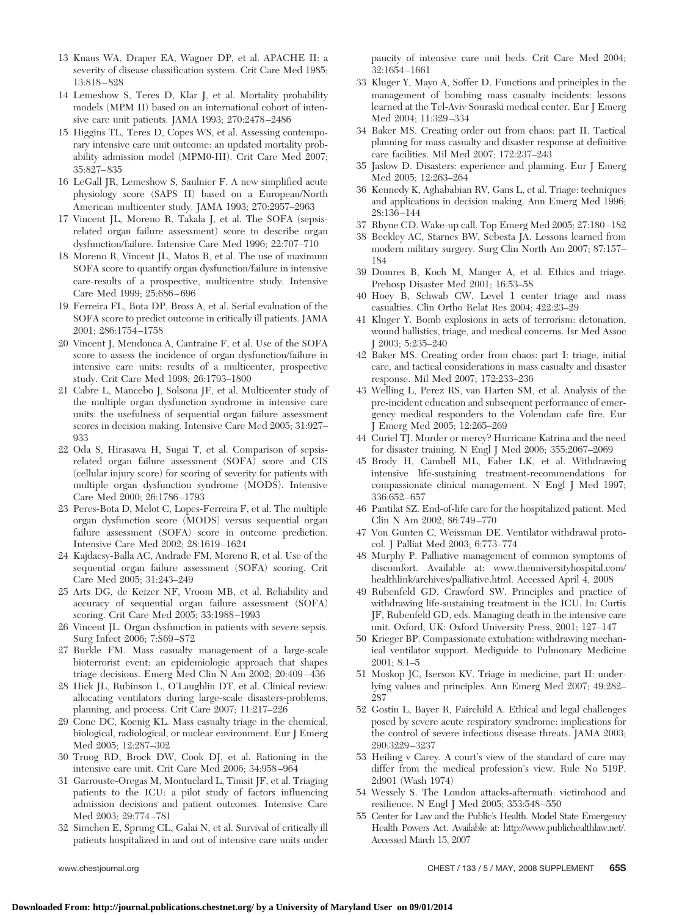- 13 Knaus WA, Draper EA, Wagner DP, et al. APACHE II: a severity of disease classification system. Crit Care Med 1985; 13:818 – 828
- 14 Lemeshow S, Teres D, Klar J, et al. Mortality probability models (MPM II) based on an international cohort of intensive care unit patients. JAMA 1993; 270:2478 –2486
- 15 Higgins TL, Teres D, Copes WS, et al. Assessing contemporary intensive care unit outcome: an updated mortality probability admission model (MPM0-III). Crit Care Med 2007; 35:827– 835
- 16 LeGall JR, Lemeshow S, Saulnier F. A new simplified acute physiology score (SAPS II) based on a European/North American multicenter study. JAMA 1993; 270:2957–2963
- 17 Vincent JL, Moreno R, Takala J, et al. The SOFA (sepsisrelated organ failure assessment) score to describe organ dysfunction/failure. Intensive Care Med 1996; 22:707–710
- 18 Moreno R, Vincent JL, Matos R, et al. The use of maximum SOFA score to quantify organ dysfunction/failure in intensive care-results of a prospective, multicentre study. Intensive Care Med 1999; 25:686 – 696
- 19 Ferreira FL, Bota DP, Bross A, et al. Serial evaluation of the SOFA score to predict outcome in critically ill patients. JAMA 2001; 286:1754 –1758
- 20 Vincent J, Mendonca A, Cantraine F, et al. Use of the SOFA score to assess the incidence of organ dysfunction/failure in intensive care units: results of a multicenter, prospective study. Crit Care Med 1998; 26:1793–1800
- 21 Cabre L, Mancebo J, Solsona JF, et al. Multicenter study of the multiple organ dysfunction syndrome in intensive care units: the usefulness of sequential organ failure assessment scores in decision making. Intensive Care Med 2005; 31:927– 933
- 22 Oda S, Hirasawa H, Sugai T, et al. Comparison of sepsisrelated organ failure assessment (SOFA) score and CIS (cellular injury score) for scoring of severity for patients with multiple organ dysfunction syndrome (MODS). Intensive Care Med 2000; 26:1786 –1793
- 23 Peres-Bota D, Melot C, Lopes-Ferreira F, et al. The multiple organ dysfunction score (MODS) versus sequential organ failure assessment (SOFA) score in outcome prediction. Intensive Care Med 2002; 28:1619 –1624
- 24 Kajdacsy-Balla AC, Andrade FM, Moreno R, et al. Use of the sequential organ failure assessment (SOFA) scoring. Crit Care Med 2005; 31:243–249
- 25 Arts DG, de Keizer NF, Vroom MB, et al. Reliability and accuracy of sequential organ failure assessment (SOFA) scoring. Crit Care Med 2005; 33:1988 –1993
- 26 Vincent JL. Organ dysfunction in patients with severe sepsis. Surg Infect 2006; 7:S69 –S72
- 27 Burkle FM. Mass casualty management of a large-scale bioterrorist event: an epidemiologic approach that shapes triage decisions. Emerg Med Clin N Am 2002; 20:409 – 436
- 28 Hick JL, Rubinson L, O'Laughlin DT, et al. Clinical review: allocating ventilators during large-scale disasters-problems, planning, and process. Crit Care 2007; 11:217–226
- 29 Cone DC, Koenig KL. Mass casualty triage in the chemical, biological, radiological, or nuclear environment. Eur J Emerg Med 2005; 12:287–302
- 30 Truog RD, Brock DW, Cook DJ, et al. Rationing in the intensive care unit. Crit Care Med 2006; 34:958 –964
- 31 Garrouste-Oregas M, Montuclard L, Timsit JF, et al. Triaging patients to the ICU: a pilot study of factors influencing admission decisions and patient outcomes. Intensive Care Med 2003; 29:774 –781
- 32 Simchen E, Sprung CL, Galai N, et al. Survival of critically ill patients hospitalized in and out of intensive care units under

paucity of intensive care unit beds. Crit Care Med 2004; 32:1654 –1661

- 33 Kluger Y, Mayo A, Soffer D. Functions and principles in the management of bombing mass casualty incidents: lessons learned at the Tel-Aviv Souraski medical center. Eur J Emerg Med 2004; 11:329 –334
- 34 Baker MS. Creating order out from chaos: part II. Tactical planning for mass casualty and disaster response at definitive care facilities. Mil Med 2007; 172:237–243
- 35 Jaslow D. Disasters: experience and planning. Eur J Emerg Med 2005; 12:263–264
- 36 Kennedy K, Aghababian RV, Gans L, et al. Triage: techniques and applications in decision making. Ann Emerg Med 1996; 28:136 –144
- 37 Rhyne CD. Wake-up call. Top Emerg Med 2005; 27:180 –182
- 38 Beekley AC, Starnes BW, Sebesta JA. Lessons learned from modern military surgery. Surg Clin North Am 2007; 87:157– 184
- 39 Domres B, Koch M, Manger A, et al. Ethics and triage. Prehosp Disaster Med 2001; 16:53–58
- 40 Hoey B, Schwab CW. Level 1 center triage and mass casualties. Clin Ortho Relat Res 2004; 422:23–29
- 41 Kluger Y. Bomb explosions in acts of terrorism: detonation, wound ballistics, triage, and medical concerns. Isr Med Assoc J 2003; 5:235–240
- 42 Baker MS. Creating order from chaos: part I: triage, initial care, and tactical considerations in mass casualty and disaster response. Mil Med 2007; 172:233–236
- 43 Welling L, Perez RS, van Harten SM, et al. Analysis of the pre-incident education and subsequent performance of emergency medical responders to the Volendam cafe fire. Eur J Emerg Med 2005; 12:265–269
- 44 Curiel TJ. Murder or mercy? Hurricane Katrina and the need for disaster training. N Engl J Med 2006; 355:2067–2069
- 45 Brody H, Cambell ML, Faber LK, et al. Withdrawing intensive life-sustaining treatment-recommendations for compassionate clinical management. N Engl J Med 1997; 336:652– 657
- 46 Pantilat SZ. End-of-life care for the hospitalized patient. Med Clin N Am 2002; 86:749 –770
- 47 Von Gunten C, Weissman DE. Ventilator withdrawal protocol. J Palliat Med 2003; 6:773–774
- 48 Murphy P. Palliative management of common symptoms of discomfort. Available at: www.theuniversityhospital.com/ healthlink/archives/palliative.html. Accessed April 4, 2008
- 49 Rubenfeld GD, Crawford SW. Principles and practice of withdrawing life-sustaining treatment in the ICU. In: Curtis JF, Rubenfeld GD, eds. Managing death in the intensive care unit. Oxford, UK: Oxford University Press, 2001; 127–147
- 50 Krieger BP. Compassionate extubation: withdrawing mechanical ventilator support. Mediguide to Pulmonary Medicine 2001; 8:1–5
- 51 Moskop JC, Iserson KV. Triage in medicine, part II: underlying values and principles. Ann Emerg Med 2007; 49:282– 287
- 52 Gostin L, Bayer R, Fairchild A. Ethical and legal challenges posed by severe acute respiratory syndrome: implications for the control of severe infectious disease threats. JAMA 2003; 290:3229 –3237
- 53 Heiling v Carey. A court's view of the standard of care may differ from the medical profession's view. Rule No 519P. 2d901 (Wash 1974)
- 54 Wessely S. The London attacks-aftermath: victimhood and resilience. N Engl J Med 2005; 353:548 –550
- 55 Center for Law and the Public's Health. Model State Emergency Health Powers Act. Available at: http://www.publichealthlaw.net/. Accessed March 15, 2007